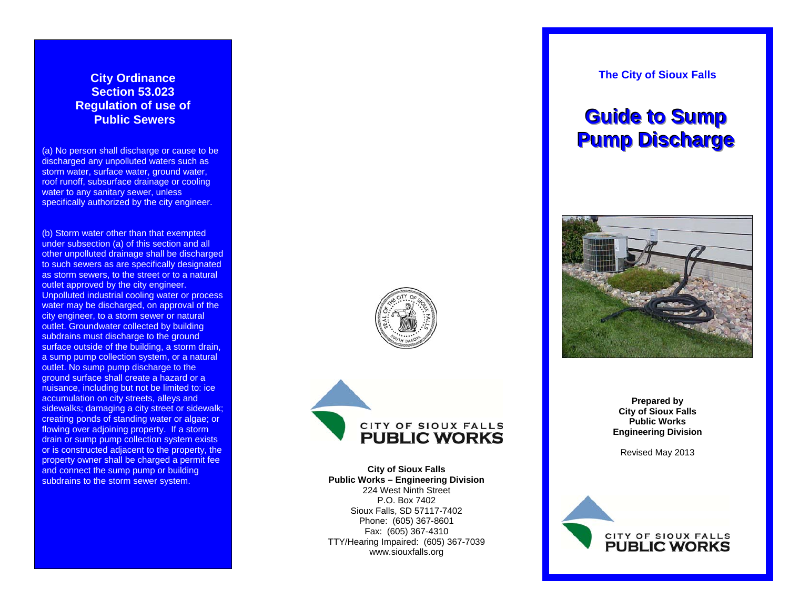### **City Ordinance Section 53.023 Regulation of use of Public Sewers**

(a) No person shall discharge or cause to be discharged any unpolluted waters such as storm water, surface water, ground water, roof runoff, subsurface drainage or cooling water to any sanitary sewer, unless specifically authorized by the city engineer.

(b) Storm water other than that exempted under subsection (a) of this section and all other unpolluted drainage shall be discharged to such sewers as are specifically designated as storm sewers, to the street or to a natural outlet approved by the city engineer. Unpolluted industrial cooling water or process water may be discharged, on approval of the city engineer, to a storm sewer or natural outlet. Groundwater collected by building subdrains must discharge to the ground surface outside of the building, a storm drain, a sump pump collection system, or a natural outlet. No sump pump discharge to the ground surface shall create a hazard or a nuisance, including but not be limited to: ice accumulation on city streets, alleys and sidewalks; damaging a city street or sidewalk; creating ponds of standing water or algae; or flowing over adjoining property. If a storm drain or sump pump collection system exists or is constructed adjacent to the property, the property owner shall be charged a permit fee and connect the sump pump or building subdrains to the storm sewer system.





**City of Sioux Falls Public Works – Engineering Division**  224 West Ninth Street P.O. Box 7402 Sioux Falls, SD 57117-7402 Phone: (605) 367-8601 Fax: (605) 367-4310 TTY/Hearing Impaired: (605) 367-7039 www.siouxfalls.org

**The City of Sioux Falls** 

# **<u>Guide</u> to Sump Pump Discharge**



**Prepared by City of Sioux Falls Public Works Engineering Division** 

Revised May 2013